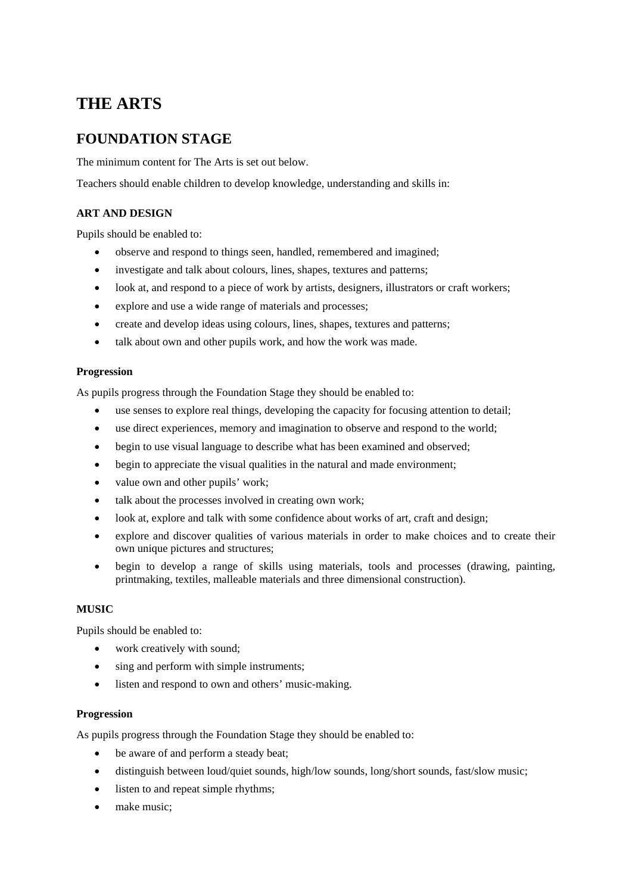# **THE ARTS**

## **FOUNDATION STAGE**

The minimum content for The Arts is set out below.

Teachers should enable children to develop knowledge, understanding and skills in:

### **ART AND DESIGN**

Pupils should be enabled to:

- observe and respond to things seen, handled, remembered and imagined;
- investigate and talk about colours, lines, shapes, textures and patterns;
- look at, and respond to a piece of work by artists, designers, illustrators or craft workers;
- explore and use a wide range of materials and processes;
- create and develop ideas using colours, lines, shapes, textures and patterns;
- talk about own and other pupils work, and how the work was made.

#### **Progression**

As pupils progress through the Foundation Stage they should be enabled to:

- use senses to explore real things, developing the capacity for focusing attention to detail;
- use direct experiences, memory and imagination to observe and respond to the world;
- begin to use visual language to describe what has been examined and observed;
- begin to appreciate the visual qualities in the natural and made environment;
- value own and other pupils' work;
- talk about the processes involved in creating own work;
- look at, explore and talk with some confidence about works of art, craft and design;
- explore and discover qualities of various materials in order to make choices and to create their own unique pictures and structures;
- begin to develop a range of skills using materials, tools and processes (drawing, painting, printmaking, textiles, malleable materials and three dimensional construction).

#### **MUSIC**

Pupils should be enabled to:

- work creatively with sound;
- sing and perform with simple instruments;
- listen and respond to own and others' music-making.

#### **Progression**

As pupils progress through the Foundation Stage they should be enabled to:

- be aware of and perform a steady beat;
- distinguish between loud/quiet sounds, high/low sounds, long/short sounds, fast/slow music;
- listen to and repeat simple rhythms;
- make music;